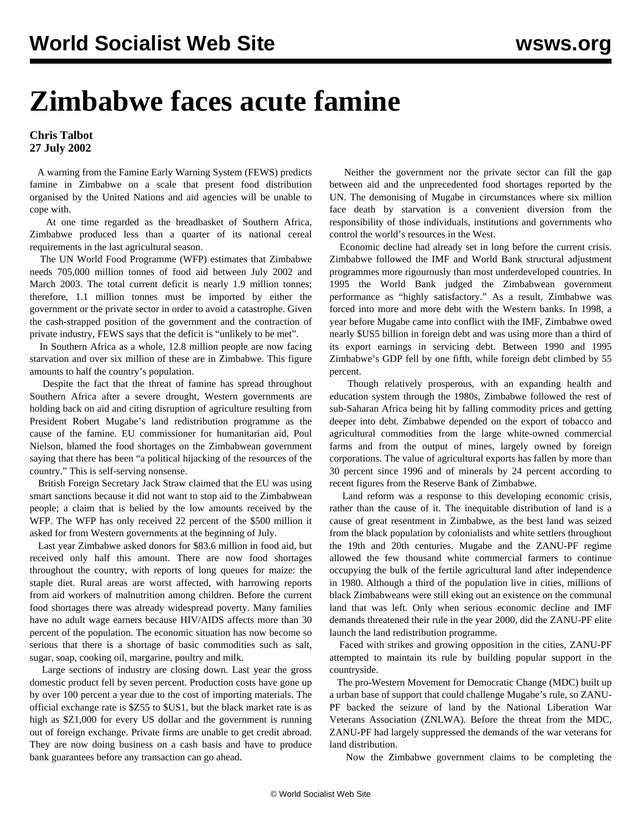## **Zimbabwe faces acute famine**

## **Chris Talbot 27 July 2002**

 A warning from the Famine Early Warning System (FEWS) predicts famine in Zimbabwe on a scale that present food distribution organised by the United Nations and aid agencies will be unable to cope with.

 At one time regarded as the breadbasket of Southern Africa, Zimbabwe produced less than a quarter of its national cereal requirements in the last agricultural season.

 The UN World Food Programme (WFP) estimates that Zimbabwe needs 705,000 million tonnes of food aid between July 2002 and March 2003. The total current deficit is nearly 1.9 million tonnes; therefore, 1.1 million tonnes must be imported by either the government or the private sector in order to avoid a catastrophe. Given the cash-strapped position of the government and the contraction of private industry, FEWS says that the deficit is "unlikely to be met".

 In Southern Africa as a whole, 12.8 million people are now facing starvation and over six million of these are in Zimbabwe. This figure amounts to half the country's population.

 Despite the fact that the threat of famine has spread throughout Southern Africa after a severe drought, Western governments are holding back on aid and citing disruption of agriculture resulting from President Robert Mugabe's land redistribution programme as the cause of the famine. EU commissioner for humanitarian aid, Poul Nielson, blamed the food shortages on the Zimbabwean government saying that there has been "a political hijacking of the resources of the country." This is self-serving nonsense.

 British Foreign Secretary Jack Straw claimed that the EU was using smart sanctions because it did not want to stop aid to the Zimbabwean people; a claim that is belied by the low amounts received by the WFP. The WFP has only received 22 percent of the \$500 million it asked for from Western governments at the beginning of July.

 Last year Zimbabwe asked donors for \$83.6 million in food aid, but received only half this amount. There are now food shortages throughout the country, with reports of long queues for maize: the staple diet. Rural areas are worst affected, with harrowing reports from aid workers of malnutrition among children. Before the current food shortages there was already widespread poverty. Many families have no adult wage earners because HIV/AIDS affects more than 30 percent of the population. The economic situation has now become so serious that there is a shortage of basic commodities such as salt, sugar, soap, cooking oil, margarine, poultry and milk.

 Large sections of industry are closing down. Last year the gross domestic product fell by seven percent. Production costs have gone up by over 100 percent a year due to the cost of importing materials. The official exchange rate is \$Z55 to \$US1, but the black market rate is as high as \$Z1,000 for every US dollar and the government is running out of foreign exchange. Private firms are unable to get credit abroad. They are now doing business on a cash basis and have to produce bank guarantees before any transaction can go ahead.

 Neither the government nor the private sector can fill the gap between aid and the unprecedented food shortages reported by the UN. The demonising of Mugabe in circumstances where six million face death by starvation is a convenient diversion from the responsibility of those individuals, institutions and governments who control the world's resources in the West.

 Economic decline had already set in long before the current crisis. Zimbabwe followed the IMF and World Bank structural adjustment programmes more rigourously than most underdeveloped countries. In 1995 the World Bank judged the Zimbabwean government performance as "highly satisfactory." As a result, Zimbabwe was forced into more and more debt with the Western banks. In 1998, a year before Mugabe came into conflict with the IMF, Zimbabwe owed nearly \$US5 billion in foreign debt and was using more than a third of its export earnings in servicing debt. Between 1990 and 1995 Zimbabwe's GDP fell by one fifth, while foreign debt climbed by 55 percent.

 Though relatively prosperous, with an expanding health and education system through the 1980s, Zimbabwe followed the rest of sub-Saharan Africa being hit by falling commodity prices and getting deeper into debt. Zimbabwe depended on the export of tobacco and agricultural commodities from the large white-owned commercial farms and from the output of mines, largely owned by foreign corporations. The value of agricultural exports has fallen by more than 30 percent since 1996 and of minerals by 24 percent according to recent figures from the Reserve Bank of Zimbabwe.

 Land reform was a response to this developing economic crisis, rather than the cause of it. The inequitable distribution of land is a cause of great resentment in Zimbabwe, as the best land was seized from the black population by colonialists and white settlers throughout the 19th and 20th centuries. Mugabe and the ZANU-PF regime allowed the few thousand white commercial farmers to continue occupying the bulk of the fertile agricultural land after independence in 1980. Although a third of the population live in cities, millions of black Zimbabweans were still eking out an existence on the communal land that was left. Only when serious economic decline and IMF demands threatened their rule in the year 2000, did the ZANU-PF elite launch the land redistribution programme.

 Faced with strikes and growing opposition in the cities, ZANU-PF attempted to maintain its rule by building popular support in the countryside.

 The pro-Western Movement for Democratic Change (MDC) built up a urban base of support that could challenge Mugabe's rule, so ZANU-PF backed the seizure of land by the National Liberation War Veterans Association (ZNLWA). Before the threat from the MDC, ZANU-PF had largely suppressed the demands of the war veterans for land distribution.

Now the Zimbabwe government claims to be completing the